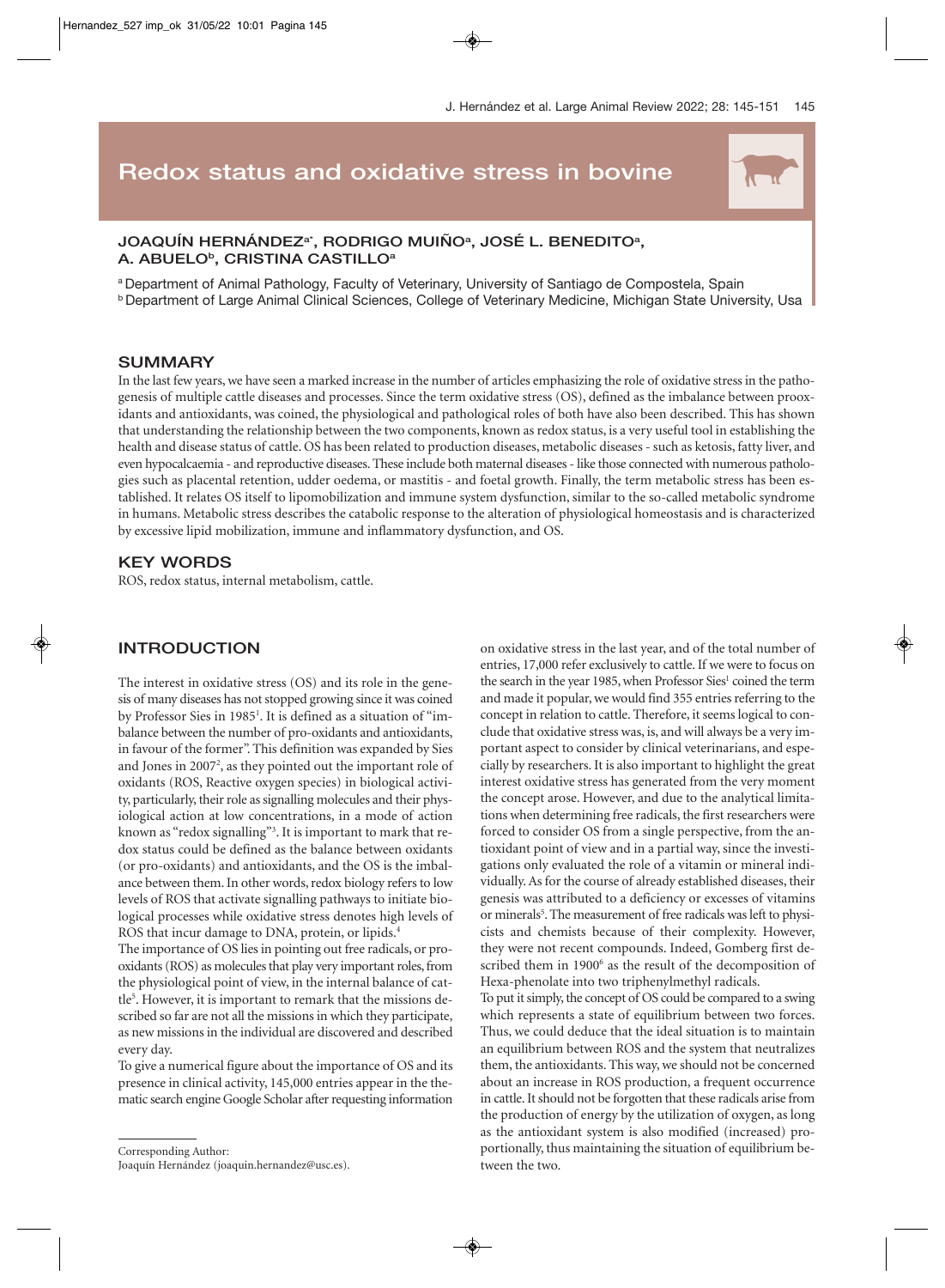# **Redox status and oxidative stress in bovine**

# JOAQUÍN HERNÁNDEZª\*, RODRIGO MUIÑOª, JOSÉ L. BENEDITOª, A. ABUELO<sup>b</sup>, CRISTINA CASTILLO<sup>a</sup>

a Department of Animal Pathology, Faculty of Veterinary, University of Santiago de Compostela, Spain b Department of Large Animal Clinical Sciences, College of Veterinary Medicine, Michigan State University, Usa

### **SUMMARY**

In the last few years, we have seen a marked increase in the number of articles emphasizing the role of oxidative stress in the pathogenesis of multiple cattle diseases and processes. Since the term oxidative stress (OS), defined as the imbalance between prooxidants and antioxidants, was coined, the physiological and pathological roles of both have also been described. This has shown that understanding the relationship between the two components, known as redox status, is a very useful tool in establishing the health and disease status of cattle. OS has been related to production diseases, metabolic diseases - such as ketosis, fatty liver, and even hypocalcaemia - and reproductive diseases. These include both maternal diseases - like those connected with numerous pathologies such as placental retention, udder oedema, or mastitis - and foetal growth. Finally, the term metabolic stress has been established. It relates OS itself to lipomobilization and immune system dysfunction, similar to the so-called metabolic syndrome in humans. Metabolic stress describes the catabolic response to the alteration of physiological homeostasis and is characterized by excessive lipid mobilization, immune and inflammatory dysfunction, and OS.

### **KEY WORDS**

ROS, redox status, internal metabolism, cattle.

# **INTRODUCTION**

The interest in oxidative stress (OS) and its role in the genesis of many diseases has not stopped growing since it was coined by Professor Sies in 1985<sup>1</sup>. It is defined as a situation of "imbalance between the number of pro-oxidants and antioxidants, in favour of the former". This definition was expanded by Sies and Jones in 2007<sup>2</sup>, as they pointed out the important role of oxidants (ROS, Reactive oxygen species) in biological activity, particularly, their role as signalling molecules and their physiological action at low concentrations, in a mode of action known as "redox signalling"3 . It is important to mark that redox status could be defined as the balance between oxidants (or pro-oxidants) and antioxidants, and the OS is the imbalance between them. In other words, redox biology refers to low levels of ROS that activate signalling pathways to initiate biological processes while oxidative stress denotes high levels of ROS that incur damage to DNA, protein, or lipids.<sup>4</sup>

The importance of OS lies in pointing out free radicals, or prooxidants (ROS) as molecules that play very important roles, from the physiological point of view, in the internal balance of cattle<sup>5</sup>. However, it is important to remark that the missions described so far are not all the missions in which they participate, as new missions in the individual are discovered and described every day.

To give a numerical figure about the importance of OS and its presence in clinical activity, 145,000 entries appear in the thematic search engine Google Scholar after requesting information

Corresponding Author: Joaquín Hernández (joaquin.hernandez@usc.es).

on oxidative stress in the last year, and of the total number of entries, 17,000 refer exclusively to cattle. If we were to focus on the search in the year 1985, when Professor Sies<sup>1</sup> coined the term and made it popular, we would find 355 entries referring to the concept in relation to cattle. Therefore, it seems logical to conclude that oxidative stress was, is, and will always be a very important aspect to consider by clinical veterinarians, and especially by researchers. It is also important to highlight the great interest oxidative stress has generated from the very moment the concept arose. However, and due to the analytical limitations when determining free radicals, the first researchers were forced to consider OS from a single perspective, from the antioxidant point of view and in a partial way, since the investigations only evaluated the role of a vitamin or mineral individually. As for the course of already established diseases, their genesis was attributed to a deficiency or excesses of vitamins or minerals<sup>5</sup>. The measurement of free radicals was left to physicists and chemists because of their complexity. However, they were not recent compounds. Indeed, Gomberg first described them in 1900<sup>6</sup> as the result of the decomposition of Hexa-phenolate into two triphenylmethyl radicals.

To put it simply, the concept of OS could be compared to a swing which represents a state of equilibrium between two forces. Thus, we could deduce that the ideal situation is to maintain an equilibrium between ROS and the system that neutralizes them, the antioxidants. This way, we should not be concerned about an increase in ROS production, a frequent occurrence in cattle. It should not be forgotten that these radicals arise from the production of energy by the utilization of oxygen, as long as the antioxidant system is also modified (increased) proportionally, thus maintaining the situation of equilibrium between the two.

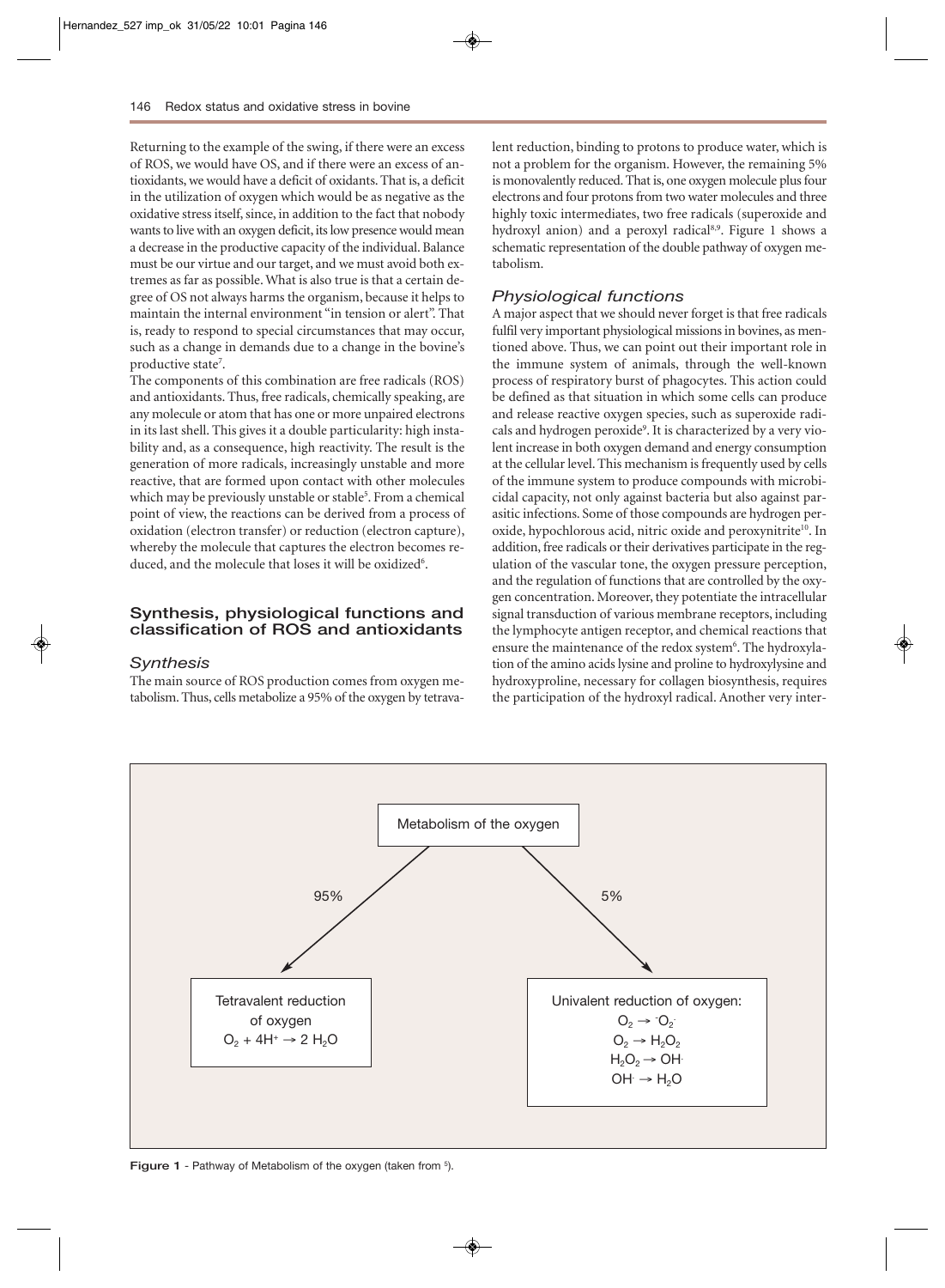Returning to the example of the swing, if there were an excess of ROS, we would have OS, and if there were an excess of antioxidants, we would have a deficit of oxidants. That is, a deficit in the utilization of oxygen which would be as negative as the oxidative stress itself, since, in addition to the fact that nobody wants to live with an oxygen deficit, its low presence would mean a decrease in the productive capacity of the individual. Balance must be our virtue and our target, and we must avoid both extremes as far as possible. What is also true is that a certain degree of OS not always harms the organism, because it helps to maintain the internal environment "in tension or alert". That is, ready to respond to special circumstances that may occur, such as a change in demands due to a change in the bovine's productive state<sup>7</sup>.

The components of this combination are free radicals (ROS) and antioxidants. Thus, free radicals, chemically speaking, are any molecule or atom that has one or more unpaired electrons in its last shell. This gives it a double particularity: high instability and, as a consequence, high reactivity. The result is the generation of more radicals, increasingly unstable and more reactive, that are formed upon contact with other molecules which may be previously unstable or stable<sup>5</sup>. From a chemical point of view, the reactions can be derived from a process of oxidation (electron transfer) or reduction (electron capture), whereby the molecule that captures the electron becomes reduced, and the molecule that loses it will be oxidized<sup>6</sup>.

### **Synthesis, physiological functions and classification of ROS and antioxidants**

#### *Synthesis*

The main source of ROS production comes from oxygen metabolism. Thus, cells metabolize a 95% of the oxygen by tetravalent reduction, binding to protons to produce water, which is not a problem for the organism. However, the remaining 5% is monovalently reduced. That is, one oxygen molecule plus four electrons and four protons from two water molecules and three highly toxic intermediates, two free radicals (superoxide and hydroxyl anion) and a peroxyl radical<sup>8,9</sup>. Figure 1 shows a schematic representation of the double pathway of oxygen metabolism.

### *Physiological functions*

A major aspect that we should never forget is that free radicals fulfil very important physiological missions in bovines, as mentioned above. Thus, we can point out their important role in the immune system of animals, through the well-known process of respiratory burst of phagocytes. This action could be defined as that situation in which some cells can produce and release reactive oxygen species, such as superoxide radicals and hydrogen peroxide<sup>9</sup>. It is characterized by a very violent increase in both oxygen demand and energy consumption at the cellular level. This mechanism is frequently used by cells of the immune system to produce compounds with microbicidal capacity, not only against bacteria but also against parasitic infections. Some of those compounds are hydrogen peroxide, hypochlorous acid, nitric oxide and peroxynitrite<sup>10</sup>. In addition, free radicals or their derivatives participate in the regulation of the vascular tone, the oxygen pressure perception, and the regulation of functions that are controlled by the oxygen concentration. Moreover, they potentiate the intracellular signal transduction of various membrane receptors, including the lymphocyte antigen receptor, and chemical reactions that ensure the maintenance of the redox system<sup>6</sup>. The hydroxylation of the amino acids lysine and proline to hydroxylysine and hydroxyproline, necessary for collagen biosynthesis, requires the participation of the hydroxyl radical. Another very inter-



Figure 1 - Pathway of Metabolism of the oxygen (taken from 5).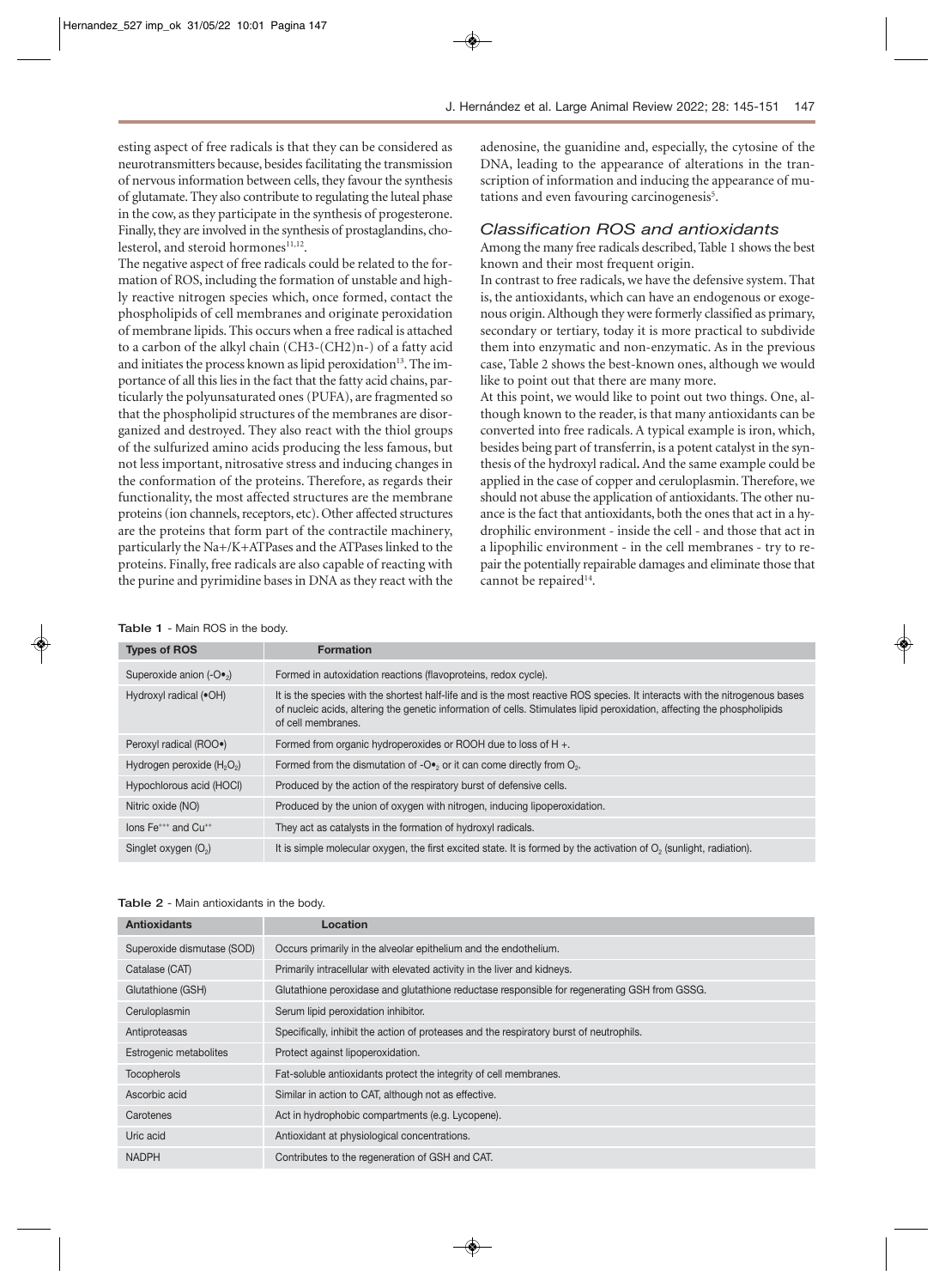esting aspect of free radicals is that they can be considered as neurotransmitters because, besides facilitating the transmission of nervous information between cells, they favour the synthesis of glutamate. They also contribute to regulating the luteal phase in the cow, as they participate in the synthesis of progesterone. Finally, they are involved in the synthesis of prostaglandins, cholesterol, and steroid hormones<sup>11,12</sup>.

The negative aspect of free radicals could be related to the formation of ROS, including the formation of unstable and highly reactive nitrogen species which, once formed, contact the phospholipids of cell membranes and originate peroxidation of membrane lipids. This occurs when a free radical is attached to a carbon of the alkyl chain (CH3-(CH2)n-) of a fatty acid and initiates the process known as lipid peroxidation<sup>13</sup>. The importance of all this lies in the fact that the fatty acid chains, particularly the polyunsaturated ones (PUFA), are fragmented so that the phospholipid structures of the membranes are disorganized and destroyed. They also react with the thiol groups of the sulfurized amino acids producing the less famous, but not less important, nitrosative stress and inducing changes in the conformation of the proteins. Therefore, as regards their functionality, the most affected structures are the membrane proteins (ion channels, receptors, etc). Other affected structures are the proteins that form part of the contractile machinery, particularly the Na+/K+ATPases and the ATPases linked to the proteins. Finally, free radicals are also capable of reacting with the purine and pyrimidine bases in DNA as they react with the

adenosine, the guanidine and, especially, the cytosine of the DNA, leading to the appearance of alterations in the transcription of information and inducing the appearance of mutations and even favouring carcinogenesis<sup>5</sup>.

#### *Classification ROS and antioxidants*

Among the many free radicals described, Table 1 shows the best known and their most frequent origin.

In contrast to free radicals, we have the defensive system. That is, the antioxidants, which can have an endogenous or exogenous origin. Although they were formerly classified as primary, secondary or tertiary, today it is more practical to subdivide them into enzymatic and non-enzymatic. As in the previous case, Table 2 shows the best-known ones, although we would like to point out that there are many more.

At this point, we would like to point out two things. One, although known to the reader, is that many antioxidants can be converted into free radicals. A typical example is iron, which, besides being part of transferrin, is a potent catalyst in the synthesis of the hydroxyl radical**.** And the same example could be applied in the case of copper and ceruloplasmin. Therefore, we should not abuse the application of antioxidants. The other nuance is the fact that antioxidants, both the ones that act in a hydrophilic environment - inside the cell - and those that act in a lipophilic environment - in the cell membranes - try to repair the potentially repairable damages and eliminate those that cannot be repaired<sup>14</sup>.

#### **Table 1** - Main ROS in the body.

| <b>Types of ROS</b>                         | <b>Formation</b>                                                                                                                                                                                                                                                             |
|---------------------------------------------|------------------------------------------------------------------------------------------------------------------------------------------------------------------------------------------------------------------------------------------------------------------------------|
| Superoxide anion $(-Q_{\bullet}$ )          | Formed in autoxidation reactions (flavoproteins, redox cycle).                                                                                                                                                                                                               |
| Hydroxyl radical (.OH)                      | It is the species with the shortest half-life and is the most reactive ROS species. It interacts with the nitrogenous bases<br>of nucleic acids, altering the genetic information of cells. Stimulates lipid peroxidation, affecting the phospholipids<br>of cell membranes. |
| Peroxyl radical (ROO•)                      | Formed from organic hydroperoxides or ROOH due to loss of H +.                                                                                                                                                                                                               |
| Hydrogen peroxide $(H_2O_2)$                | Formed from the dismutation of - $O_{\bullet}$ or it can come directly from $O_{2}$ .                                                                                                                                                                                        |
| Hypochlorous acid (HOCI)                    | Produced by the action of the respiratory burst of defensive cells.                                                                                                                                                                                                          |
| Nitric oxide (NO)                           | Produced by the union of oxygen with nitrogen, inducing lipoperoxidation.                                                                                                                                                                                                    |
| lons Fe <sup>+++</sup> and Cu <sup>++</sup> | They act as catalysts in the formation of hydroxyl radicals.                                                                                                                                                                                                                 |
| Singlet oxygen $(O_2)$                      | It is simple molecular oxygen, the first excited state. It is formed by the activation of $O2$ (sunlight, radiation).                                                                                                                                                        |

| Table 2 - Main antioxidants in the body. |  |  |  |  |
|------------------------------------------|--|--|--|--|
|------------------------------------------|--|--|--|--|

| <b>Antioxidants</b>        | Location                                                                                     |
|----------------------------|----------------------------------------------------------------------------------------------|
| Superoxide dismutase (SOD) | Occurs primarily in the alveolar epithelium and the endothelium.                             |
| Catalase (CAT)             | Primarily intracellular with elevated activity in the liver and kidneys.                     |
| Glutathione (GSH)          | Glutathione peroxidase and glutathione reductase responsible for regenerating GSH from GSSG. |
| Ceruloplasmin              | Serum lipid peroxidation inhibitor.                                                          |
| Antiproteasas              | Specifically, inhibit the action of proteases and the respiratory burst of neutrophils.      |
| Estrogenic metabolites     | Protect against lipoperoxidation.                                                            |
| <b>Tocopherols</b>         | Fat-soluble antioxidants protect the integrity of cell membranes.                            |
| Ascorbic acid              | Similar in action to CAT, although not as effective.                                         |
| Carotenes                  | Act in hydrophobic compartments (e.g. Lycopene).                                             |
| Uric acid                  | Antioxidant at physiological concentrations.                                                 |
| <b>NADPH</b>               | Contributes to the regeneration of GSH and CAT.                                              |
|                            |                                                                                              |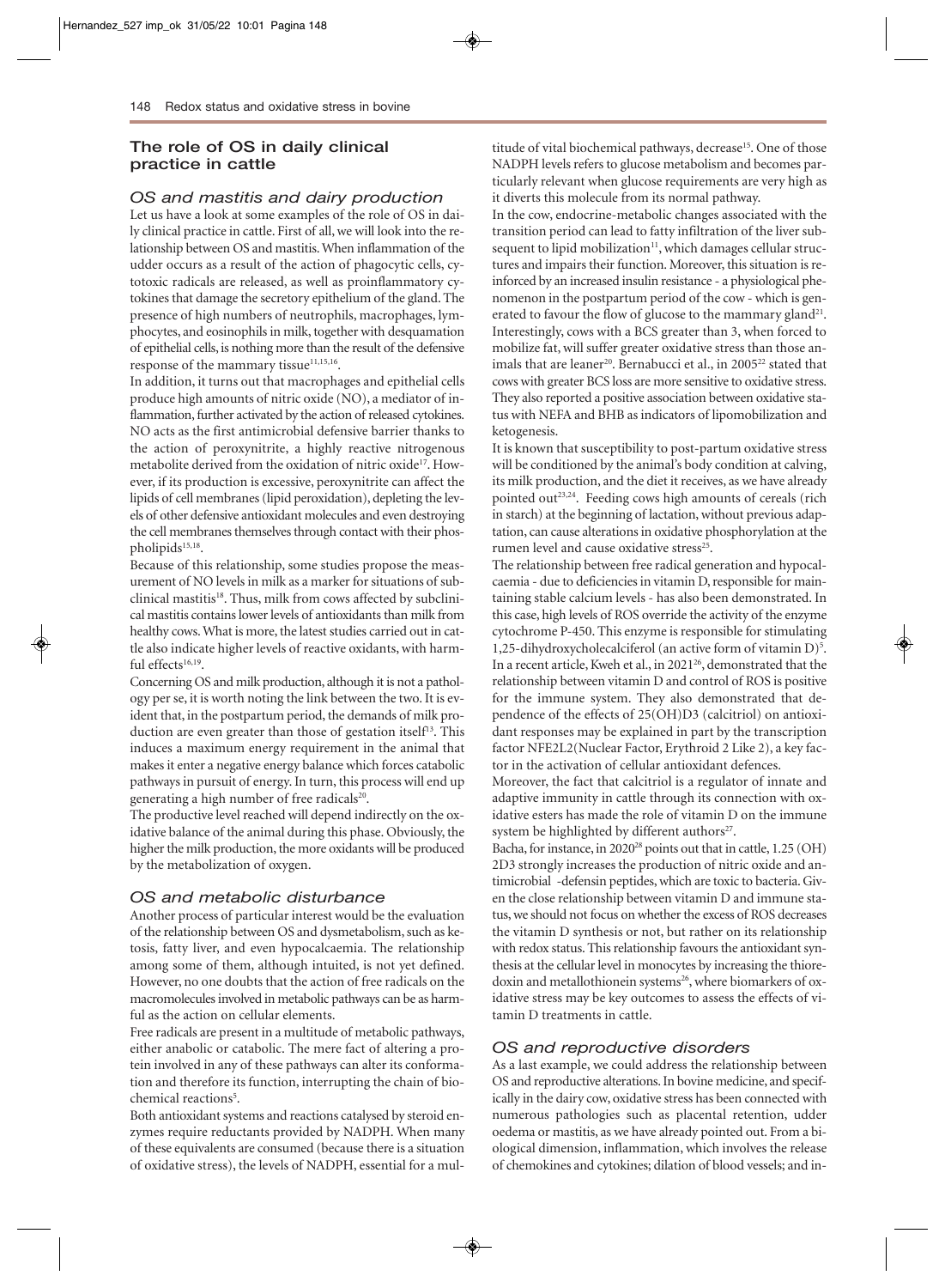# **The role of OS in daily clinical practice in cattle**

## *OS and mastitis and dairy production*

Let us have a look at some examples of the role of OS in daily clinical practice in cattle. First of all, we will look into the relationship between OS and mastitis. When inflammation of the udder occurs as a result of the action of phagocytic cells, cytotoxic radicals are released, as well as proinflammatory cytokines that damage the secretory epithelium of the gland. The presence of high numbers of neutrophils, macrophages, lymphocytes, and eosinophils in milk, together with desquamation of epithelial cells, is nothing more than the result of the defensive response of the mammary tissue<sup>11,15,16</sup>.

In addition, it turns out that macrophages and epithelial cells produce high amounts of nitric oxide (NO), a mediator of inflammation, further activated by the action of released cytokines. NO acts as the first antimicrobial defensive barrier thanks to the action of peroxynitrite, a highly reactive nitrogenous metabolite derived from the oxidation of nitric oxide<sup>17</sup>. However, if its production is excessive, peroxynitrite can affect the lipids of cell membranes (lipid peroxidation), depleting the levels of other defensive antioxidant molecules and even destroying the cell membranes themselves through contact with their phospholipids<sup>15,18</sup>.

Because of this relationship, some studies propose the measurement of NO levels in milk as a marker for situations of subclinical mastitis<sup>18</sup>. Thus, milk from cows affected by subclinical mastitis contains lower levels of antioxidants than milk from healthy cows. What is more, the latest studies carried out in cattle also indicate higher levels of reactive oxidants, with harmful effects $16,19$ .

Concerning OS and milk production, although it is not a pathology per se, it is worth noting the link between the two. It is evident that, in the postpartum period, the demands of milk production are even greater than those of gestation itself<sup>13</sup>. This induces a maximum energy requirement in the animal that makes it enter a negative energy balance which forces catabolic pathways in pursuit of energy. In turn, this process will end up generating a high number of free radicals<sup>20</sup>.

The productive level reached will depend indirectly on the oxidative balance of the animal during this phase. Obviously, the higher the milk production, the more oxidants will be produced by the metabolization of oxygen.

# *OS and metabolic disturbance*

Another process of particular interest would be the evaluation of the relationship between OS and dysmetabolism, such as ketosis, fatty liver, and even hypocalcaemia. The relationship among some of them, although intuited, is not yet defined. However, no one doubts that the action of free radicals on the macromolecules involved in metabolic pathways can be as harmful as the action on cellular elements.

Free radicals are present in a multitude of metabolic pathways, either anabolic or catabolic. The mere fact of altering a protein involved in any of these pathways can alter its conformation and therefore its function, interrupting the chain of biochemical reactions<sup>5</sup>.

Both antioxidant systems and reactions catalysed by steroid enzymes require reductants provided by NADPH. When many of these equivalents are consumed (because there is a situation of oxidative stress), the levels of NADPH, essential for a multitude of vital biochemical pathways, decrease<sup>15</sup>. One of those NADPH levels refers to glucose metabolism and becomes particularly relevant when glucose requirements are very high as it diverts this molecule from its normal pathway.

In the cow, endocrine-metabolic changes associated with the transition period can lead to fatty infiltration of the liver subsequent to lipid mobilization<sup>11</sup>, which damages cellular structures and impairs their function. Moreover, this situation is reinforced by an increased insulin resistance - a physiological phenomenon in the postpartum period of the cow - which is generated to favour the flow of glucose to the mammary gland<sup>21</sup>. Interestingly, cows with a BCS greater than 3, when forced to mobilize fat, will suffer greater oxidative stress than those animals that are leaner<sup>20</sup>. Bernabucci et al., in 2005<sup>22</sup> stated that cows with greater BCS loss are more sensitive to oxidative stress. They also reported a positive association between oxidative status with NEFA and BHB as indicators of lipomobilization and ketogenesis.

It is known that susceptibility to post-partum oxidative stress will be conditioned by the animal's body condition at calving, its milk production, and the diet it receives, as we have already pointed out<sup>23,24</sup>. Feeding cows high amounts of cereals (rich in starch) at the beginning of lactation, without previous adaptation, can cause alterations in oxidative phosphorylation at the rumen level and cause oxidative stress<sup>25</sup>.

The relationship between free radical generation and hypocalcaemia - due to deficiencies in vitamin D, responsible for maintaining stable calcium levels - has also been demonstrated. In this case, high levels of ROS override the activity of the enzyme cytochrome P-450. This enzyme is responsible for stimulating 1,25-dihydroxycholecalciferol (an active form of vitamin D)<sup>5</sup>. In a recent article, Kweh et al., in 2021<sup>26</sup>, demonstrated that the relationship between vitamin D and control of ROS is positive for the immune system. They also demonstrated that dependence of the effects of 25(OH)D3 (calcitriol) on antioxidant responses may be explained in part by the transcription factor NFE2L2(Nuclear Factor, Erythroid 2 Like 2), a key factor in the activation of cellular antioxidant defences.

Moreover, the fact that calcitriol is a regulator of innate and adaptive immunity in cattle through its connection with oxidative esters has made the role of vitamin D on the immune system be highlighted by different authors<sup>27</sup>.

Bacha, for instance, in 202028 points out that in cattle, 1.25 (OH) 2D3 strongly increases the production of nitric oxide and antimicrobial -defensin peptides, which are toxic to bacteria. Given the close relationship between vitamin D and immune status, we should not focus on whether the excess of ROS decreases the vitamin D synthesis or not, but rather on its relationship with redox status. This relationship favours the antioxidant synthesis at the cellular level in monocytes by increasing the thioredoxin and metallothionein systems<sup>26</sup>, where biomarkers of oxidative stress may be key outcomes to assess the effects of vitamin D treatments in cattle.

#### *OS and reproductive disorders*

As a last example, we could address the relationship between OS and reproductive alterations. In bovine medicine, and specifically in the dairy cow, oxidative stress has been connected with numerous pathologies such as placental retention, udder oedema or mastitis, as we have already pointed out. From a biological dimension, inflammation, which involves the release of chemokines and cytokines; dilation of blood vessels; and in-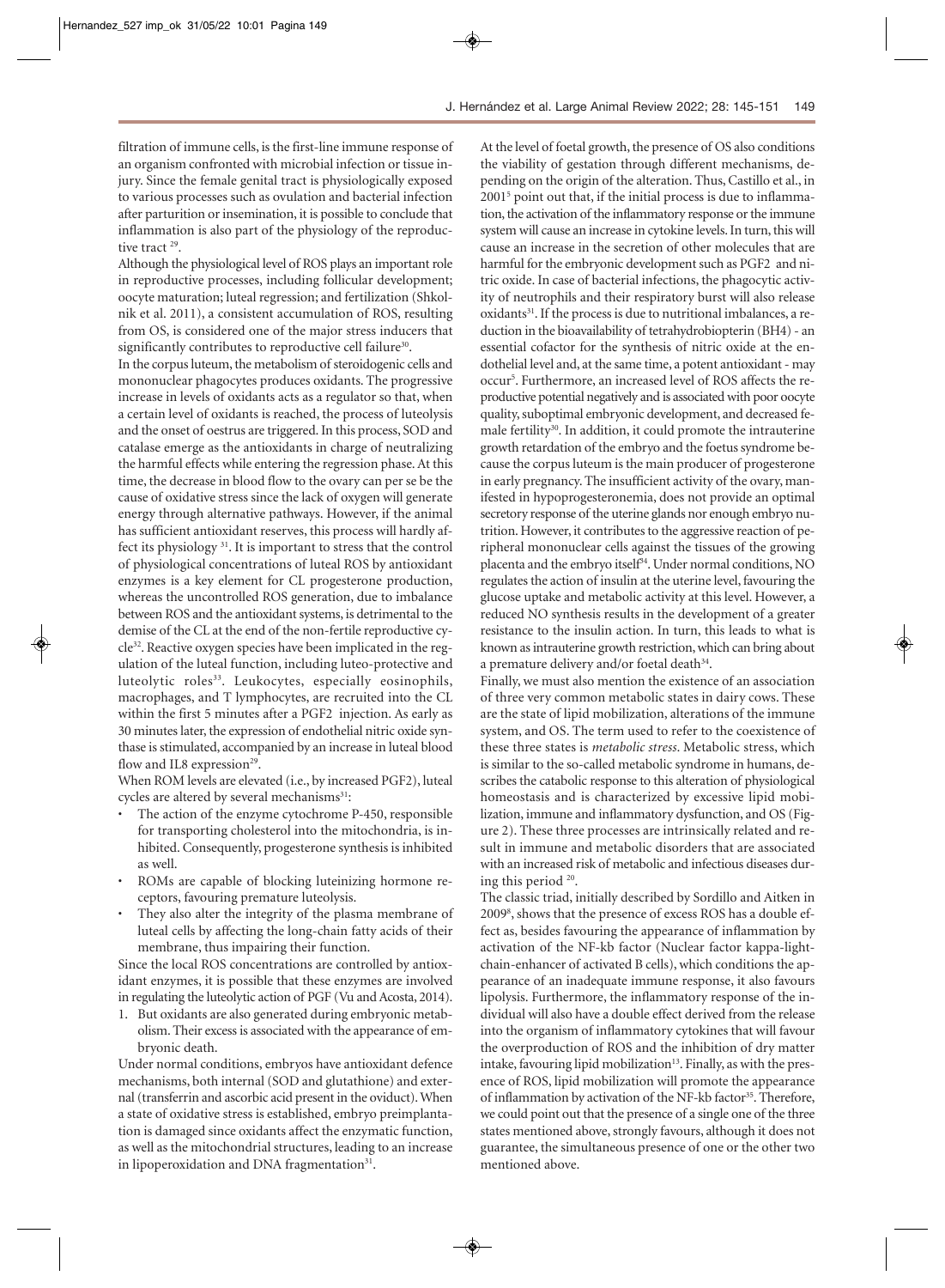filtration of immune cells, is the first-line immune response of an organism confronted with microbial infection or tissue injury. Since the female genital tract is physiologically exposed to various processes such as ovulation and bacterial infection after parturition or insemination, it is possible to conclude that inflammation is also part of the physiology of the reproductive tract<sup>29</sup>.

Although the physiological level of ROS plays an important role in reproductive processes, including follicular development; oocyte maturation; luteal regression; and fertilization (Shkolnik et al. 2011), a consistent accumulation of ROS, resulting from OS, is considered one of the major stress inducers that significantly contributes to reproductive cell failure<sup>30</sup>.

In the corpus luteum, the metabolism of steroidogenic cells and mononuclear phagocytes produces oxidants. The progressive increase in levels of oxidants acts as a regulator so that, when a certain level of oxidants is reached, the process of luteolysis and the onset of oestrus are triggered. In this process, SOD and catalase emerge as the antioxidants in charge of neutralizing the harmful effects while entering the regression phase. At this time, the decrease in blood flow to the ovary can per se be the cause of oxidative stress since the lack of oxygen will generate energy through alternative pathways. However, if the animal has sufficient antioxidant reserves, this process will hardly affect its physiology 31. It is important to stress that the control of physiological concentrations of luteal ROS by antioxidant enzymes is a key element for CL progesterone production, whereas the uncontrolled ROS generation, due to imbalance between ROS and the antioxidant systems, is detrimental to the demise of the CL at the end of the non-fertile reproductive cycle32. Reactive oxygen species have been implicated in the regulation of the luteal function, including luteo-protective and luteolytic roles<sup>33</sup>. Leukocytes, especially eosinophils, macrophages, and T lymphocytes, are recruited into the CL within the first 5 minutes after a PGF2 injection. As early as 30 minutes later, the expression of endothelial nitric oxide synthase is stimulated, accompanied by an increase in luteal blood flow and IL8 expression<sup>29</sup>.

When ROM levels are elevated (i.e., by increased PGF2), luteal cycles are altered by several mechanisms<sup>31</sup>:

- The action of the enzyme cytochrome P-450, responsible for transporting cholesterol into the mitochondria, is inhibited. Consequently, progesterone synthesis is inhibited as well.
- ROMs are capable of blocking luteinizing hormone receptors, favouring premature luteolysis.
- They also alter the integrity of the plasma membrane of luteal cells by affecting the long-chain fatty acids of their membrane, thus impairing their function.

Since the local ROS concentrations are controlled by antioxidant enzymes, it is possible that these enzymes are involved in regulating the luteolytic action of PGF (Vu and Acosta, 2014).

1. But oxidants are also generated during embryonic metabolism. Their excess is associated with the appearance of embryonic death.

Under normal conditions, embryos have antioxidant defence mechanisms, both internal (SOD and glutathione) and external (transferrin and ascorbic acid present in the oviduct). When a state of oxidative stress is established, embryo preimplantation is damaged since oxidants affect the enzymatic function, as well as the mitochondrial structures, leading to an increase in lipoperoxidation and DNA fragmentation $31$ .

At the level of foetal growth, the presence of OS also conditions the viability of gestation through different mechanisms, depending on the origin of the alteration. Thus, Castillo et al., in 20015 point out that, if the initial process is due to inflammation, the activation of the inflammatory response or the immune system will cause an increase in cytokine levels. In turn, this will cause an increase in the secretion of other molecules that are harmful for the embryonic development such as PGF2 and nitric oxide. In case of bacterial infections, the phagocytic activity of neutrophils and their respiratory burst will also release oxidants<sup>31</sup>. If the process is due to nutritional imbalances, a reduction in the bioavailability of tetrahydrobiopterin (BH4) - an essential cofactor for the synthesis of nitric oxide at the endothelial level and, at the same time, a potent antioxidant - may occur5 . Furthermore, an increased level of ROS affects the reproductive potential negatively and is associated with poor oocyte quality, suboptimal embryonic development, and decreased female fertility<sup>30</sup>. In addition, it could promote the intrauterine growth retardation of the embryo and the foetus syndrome because the corpus luteum is the main producer of progesterone in early pregnancy. The insufficient activity of the ovary, manifested in hypoprogesteronemia, does not provide an optimal secretory response of the uterine glands nor enough embryo nutrition. However, it contributes to the aggressive reaction of peripheral mononuclear cells against the tissues of the growing placenta and the embryo itself<sup>34</sup>. Under normal conditions, NO regulates the action of insulin at the uterine level, favouring the glucose uptake and metabolic activity at this level. However, a reduced NO synthesis results in the development of a greater resistance to the insulin action. In turn, this leads to what is known as intrauterine growth restriction, which can bring about a premature delivery and/or foetal death<sup>34</sup>.

Finally, we must also mention the existence of an association of three very common metabolic states in dairy cows. These are the state of lipid mobilization, alterations of the immune system, and OS. The term used to refer to the coexistence of these three states is *metabolic stress*. Metabolic stress, which is similar to the so-called metabolic syndrome in humans, describes the catabolic response to this alteration of physiological homeostasis and is characterized by excessive lipid mobilization, immune and inflammatory dysfunction, and OS (Figure 2). These three processes are intrinsically related and result in immune and metabolic disorders that are associated with an increased risk of metabolic and infectious diseases during this period 20.

The classic triad, initially described by Sordillo and Aitken in 20098 , shows that the presence of excess ROS has a double effect as, besides favouring the appearance of inflammation by activation of the NF-kb factor (Nuclear factor kappa-lightchain-enhancer of activated B cells), which conditions the appearance of an inadequate immune response, it also favours lipolysis. Furthermore, the inflammatory response of the individual will also have a double effect derived from the release into the organism of inflammatory cytokines that will favour the overproduction of ROS and the inhibition of dry matter intake, favouring lipid mobilization<sup>13</sup>. Finally, as with the presence of ROS, lipid mobilization will promote the appearance of inflammation by activation of the NF-kb factor<sup>35</sup>. Therefore, we could point out that the presence of a single one of the three states mentioned above, strongly favours, although it does not guarantee, the simultaneous presence of one or the other two mentioned above.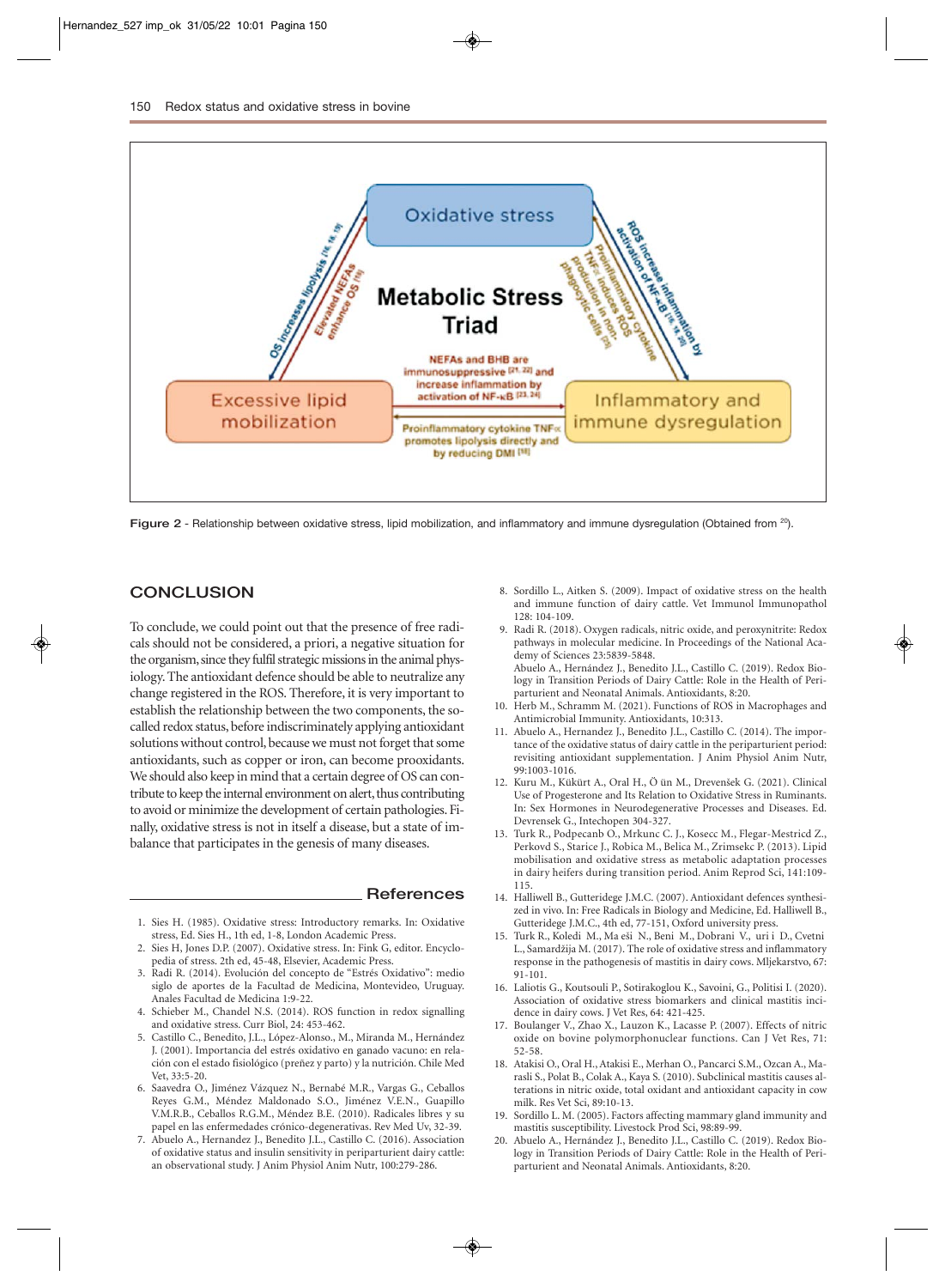

**Figure 2** - Relationship between oxidative stress, lipid mobilization, and inflammatory and immune dysregulation (Obtained from 20).

# **CONCLUSION**

To conclude, we could point out that the presence of free radicals should not be considered, a priori, a negative situation for the organism, since they fulfil strategic missions in the animal physiology. The antioxidant defence should be able to neutralize any change registered in the ROS. Therefore, it is very important to establish the relationship between the two components, the socalled redox status, before indiscriminately applying antioxidant solutions without control, because we must not forget that some antioxidants, such as copper or iron, can become prooxidants. We should also keep in mind that a certain degree of OS can contribute to keep the internal environment on alert, thus contributing to avoid or minimize the development of certain pathologies. Finally, oxidative stress is not in itself a disease, but a state of imbalance that participates in the genesis of many diseases.

#### **References**

- 1. Sies H. (1985). Oxidative stress: Introductory remarks. In: Oxidative stress, Ed. Sies H., 1th ed, 1-8, London Academic Press.
- 2. Sies H, Jones D.P. (2007). Oxidative stress. In: Fink G, editor. Encyclopedia of stress. 2th ed, 45-48, Elsevier, Academic Press.
- 3. Radi R. (2014). Evolución del concepto de "Estrés Oxidativo": medio siglo de aportes de la Facultad de Medicina, Montevideo, Uruguay. Anales Facultad de Medicina 1:9-22.
- 4. Schieber M., Chandel N.S. (2014). ROS function in redox signalling and oxidative stress. Curr Biol, 24: 453-462.
- 5. Castillo C., Benedito, J.L., López-Alonso., M., Miranda M., Hernández J. (2001). Importancia del estrés oxidativo en ganado vacuno: en relación con el estado fisiológico (preñez y parto) y la nutrición. Chile Med Vet, 33:5-20.
- 6. Saavedra O., Jiménez Vázquez N., Bernabé M.R., Vargas G., Ceballos Reyes G.M., Méndez Maldonado S.O., Jiménez V.E.N., Guapillo V.M.R.B., Ceballos R.G.M., Méndez B.E. (2010). Radicales libres y su papel en las enfermedades crónico-degenerativas. Rev Med Uv, 32-39.
- 7. Abuelo A., Hernandez J., Benedito J.L., Castillo C. (2016). Association of oxidative status and insulin sensitivity in periparturient dairy cattle: an observational study. J Anim Physiol Anim Nutr, 100:279-286.
- 8. Sordillo L., Aitken S. (2009). Impact of oxidative stress on the health and immune function of dairy cattle. Vet Immunol Immunopathol 128: 104-109.
- 9. Radi R. (2018). Oxygen radicals, nitric oxide, and peroxynitrite: Redox pathways in molecular medicine. In Proceedings of the National Academy of Sciences 23:5839-5848. Abuelo A., Hernández J., Benedito J.L., Castillo C. (2019). Redox Bio-

logy in Transition Periods of Dairy Cattle: Role in the Health of Periparturient and Neonatal Animals. Antioxidants, 8:20.

- 10. Herb M., Schramm M. (2021). Functions of ROS in Macrophages and Antimicrobial Immunity. Antioxidants, 10:313.
- 11. Abuelo A., Hernandez J., Benedito J.L., Castillo C. (2014). The importance of the oxidative status of dairy cattle in the periparturient period: revisiting antioxidant supplementation. J Anim Physiol Anim Nutr, 99:1003-1016.
- 12. Kuru M., Kükürt A., Oral H., Ö ün M., Drevenšek G. (2021). Clinical Use of Progesterone and Its Relation to Oxidative Stress in Ruminants. In: Sex Hormones in Neurodegenerative Processes and Diseases. Ed. Devrensek G., Intechopen 304-327.
- 13. Turk R., Podpecanb O., Mrkunc C. J., Kosecc M., Flegar-Mestricd Z., Perkovd S., Starice J., Robica M., Belica M., Zrimsekc P. (2013). Lipid mobilisation and oxidative stress as metabolic adaptation processes in dairy heifers during transition period. Anim Reprod Sci, 141:109- 115.
- 14. Halliwell B., Gutteridege J.M.C. (2007). Antioxidant defences synthesized in vivo. In: Free Radicals in Biology and Medicine, Ed. Halliwell B., Gutteridege J.M.C., 4th ed, 77-151, Oxford university press.
- 15. Turk R., Koledi M., Ma eši N., Beni M., Dobrani V., uri i D., Cvetni L., Samardžija M. (2017). The role of oxidative stress and inflammatory response in the pathogenesis of mastitis in dairy cows. Mljekarstvo, 67: 91-101.
- 16. Laliotis G., Koutsouli P., Sotirakoglou K., Savoini, G., Politisi I. (2020). Association of oxidative stress biomarkers and clinical mastitis incidence in dairy cows. J Vet Res, 64: 421-425.
- 17. Boulanger V., Zhao X., Lauzon K., Lacasse P. (2007). Effects of nitric oxide on bovine polymorphonuclear functions. Can J Vet Res, 71: 52-58.
- 18. Atakisi O., Oral H., Atakisi E., Merhan O., Pancarci S.M., Ozcan A., Marasli S., Polat B., Colak A., Kaya S. (2010). Subclinical mastitis causes alterations in nitric oxide, total oxidant and antioxidant capacity in cow milk. Res Vet Sci, 89:10-13.
- 19. Sordillo L. M. (2005). Factors affecting mammary gland immunity and mastitis susceptibility. Livestock Prod Sci, 98:89-99.
- 20. Abuelo A., Hernández J., Benedito J.L., Castillo C. (2019). Redox Biology in Transition Periods of Dairy Cattle: Role in the Health of Periparturient and Neonatal Animals. Antioxidants, 8:20.